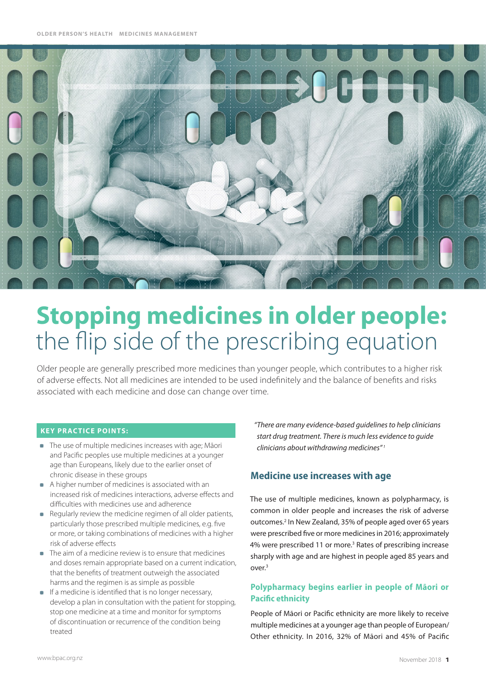

# **Stopping medicines in older people:**  the flip side of the prescribing equation

Older people are generally prescribed more medicines than younger people, which contributes to a higher risk of adverse effects. Not all medicines are intended to be used indefinitely and the balance of benefits and risks associated with each medicine and dose can change over time.

#### **Key practice points:**

- The use of multiple medicines increases with age; Māori and Pacific peoples use multiple medicines at a younger age than Europeans, likely due to the earlier onset of chronic disease in these groups
- A higher number of medicines is associated with an increased risk of medicines interactions, adverse effects and difficulties with medicines use and adherence
- Regularly review the medicine regimen of all older patients, particularly those prescribed multiple medicines, e.g. five or more, or taking combinations of medicines with a higher risk of adverse effects
- **The aim of a medicine review is to ensure that medicines** and doses remain appropriate based on a current indication, that the benefits of treatment outweigh the associated harms and the regimen is as simple as possible
- $\blacksquare$  If a medicine is identified that is no longer necessary, develop a plan in consultation with the patient for stopping, stop one medicine at a time and monitor for symptoms of discontinuation or recurrence of the condition being treated

*"There are many evidence-based guidelines to help clinicians start drug treatment. There is much less evidence to guide clinicians about withdrawing medicines" <sup>1</sup>*

# **Medicine use increases with age**

The use of multiple medicines, known as polypharmacy, is common in older people and increases the risk of adverse outcomes.2 In New Zealand, 35% of people aged over 65 years were prescribed five or more medicines in 2016; approximately 4% were prescribed 11 or more.<sup>3</sup> Rates of prescribing increase sharply with age and are highest in people aged 85 years and over.3

## **Polypharmacy begins earlier in people of Māori or Pacific ethnicity**

People of Māori or Pacific ethnicity are more likely to receive multiple medicines at a younger age than people of European/ Other ethnicity. In 2016, 32% of Māori and 45% of Pacific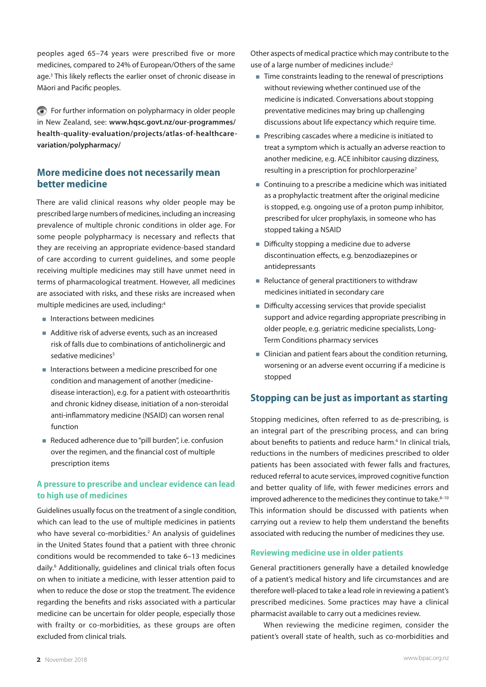peoples aged 65–74 years were prescribed five or more medicines, compared to 24% of European/Others of the same age.<sup>3</sup> This likely reflects the earlier onset of chronic disease in Māori and Pacific peoples.

For further information on polypharmacy in older people in New Zealand, see: **[www.hqsc.govt.nz/our-programmes/](www.hqsc.govt.nz/our-programmes/health-quality-evaluation/projects/atlas-of-healthcare-variation/polypharmacy/) [health-quality-evaluation/projects/atlas-of-healthcare](www.hqsc.govt.nz/our-programmes/health-quality-evaluation/projects/atlas-of-healthcare-variation/polypharmacy/)[variation/polypharmacy/](www.hqsc.govt.nz/our-programmes/health-quality-evaluation/projects/atlas-of-healthcare-variation/polypharmacy/)**

# **More medicine does not necessarily mean better medicine**

There are valid clinical reasons why older people may be prescribed large numbers of medicines, including an increasing prevalence of multiple chronic conditions in older age. For some people polypharmacy is necessary and reflects that they are receiving an appropriate evidence-based standard of care according to current guidelines, and some people receiving multiple medicines may still have unmet need in terms of pharmacological treatment. However, all medicines are associated with risks, and these risks are increased when multiple medicines are used, including:4

- **Interactions between medicines**
- Additive risk of adverse events, such as an increased risk of falls due to combinations of anticholinergic and sedative medicines<sup>5</sup>
- Interactions between a medicine prescribed for one condition and management of another (medicinedisease interaction), e.g. for a patient with osteoarthritis and chronic kidney disease, initiation of a non-steroidal anti-inflammatory medicine (NSAID) can worsen renal function
- Reduced adherence due to "pill burden", i.e. confusion over the regimen, and the financial cost of multiple prescription items

## **A pressure to prescribe and unclear evidence can lead to high use of medicines**

Guidelines usually focus on the treatment of a single condition, which can lead to the use of multiple medicines in patients who have several co-morbidities.<sup>2</sup> An analysis of guidelines in the United States found that a patient with three chronic conditions would be recommended to take 6–13 medicines daily.<sup>6</sup> Additionally, guidelines and clinical trials often focus on when to initiate a medicine, with lesser attention paid to when to reduce the dose or stop the treatment. The evidence regarding the benefits and risks associated with a particular medicine can be uncertain for older people, especially those with frailty or co-morbidities, as these groups are often excluded from clinical trials.

Other aspects of medical practice which may contribute to the use of a large number of medicines include:<sup>2</sup>

- Time constraints leading to the renewal of prescriptions without reviewing whether continued use of the medicine is indicated. Conversations about stopping preventative medicines may bring up challenging discussions about life expectancy which require time.
- **Prescribing cascades where a medicine is initiated to** treat a symptom which is actually an adverse reaction to another medicine, e.g. ACE inhibitor causing dizziness, resulting in a prescription for prochlorperazine<sup>7</sup>
- Continuing to a prescribe a medicine which was initiated as a prophylactic treatment after the original medicine is stopped, e.g. ongoing use of a proton pump inhibitor, prescribed for ulcer prophylaxis, in someone who has stopped taking a NSAID
- Difficulty stopping a medicine due to adverse discontinuation effects, e.g. benzodiazepines or antidepressants
- Reluctance of general practitioners to withdraw medicines initiated in secondary care
- **Difficulty accessing services that provide specialist** support and advice regarding appropriate prescribing in older people, e.g. geriatric medicine specialists, Long-Term Conditions pharmacy services
- Clinician and patient fears about the condition returning, worsening or an adverse event occurring if a medicine is stopped

## **Stopping can be just as important as starting**

Stopping medicines, often referred to as de-prescribing, is an integral part of the prescribing process, and can bring about benefits to patients and reduce harm.<sup>6</sup> In clinical trials, reductions in the numbers of medicines prescribed to older patients has been associated with fewer falls and fractures, reduced referral to acute services, improved cognitive function and better quality of life, with fewer medicines errors and improved adherence to the medicines they continue to take. $8-10$ This information should be discussed with patients when carrying out a review to help them understand the benefits associated with reducing the number of medicines they use.

#### **Reviewing medicine use in older patients**

General practitioners generally have a detailed knowledge of a patient's medical history and life circumstances and are therefore well-placed to take a lead role in reviewing a patient's prescribed medicines. Some practices may have a clinical pharmacist available to carry out a medicines review.

When reviewing the medicine regimen, consider the patient's overall state of health, such as co-morbidities and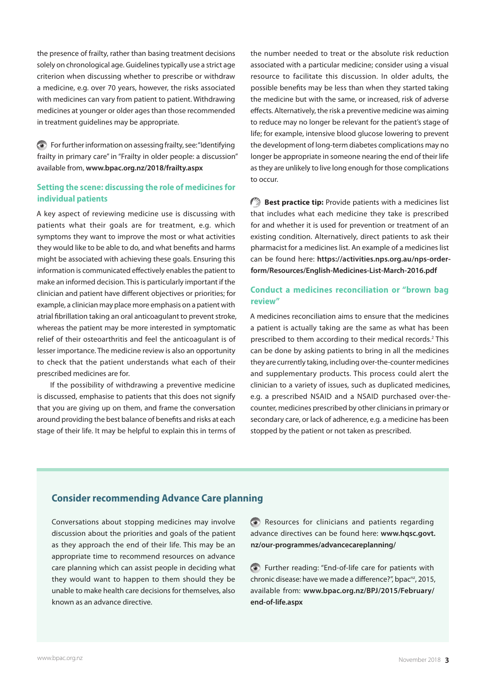the presence of frailty, rather than basing treatment decisions solely on chronological age. Guidelines typically use a strict age criterion when discussing whether to prescribe or withdraw a medicine, e.g. over 70 years, however, the risks associated with medicines can vary from patient to patient. Withdrawing medicines at younger or older ages than those recommended in treatment guidelines may be appropriate.

For further information on assessing frailty, see: "Identifying frailty in primary care" in "Frailty in older people: a discussion" available from, **<www.bpac.org.nz/2018/frailty.aspx>**

### **Setting the scene: discussing the role of medicines for individual patients**

A key aspect of reviewing medicine use is discussing with patients what their goals are for treatment, e.g. which symptoms they want to improve the most or what activities they would like to be able to do, and what benefits and harms might be associated with achieving these goals. Ensuring this information is communicated effectively enables the patient to make an informed decision. This is particularly important if the clinician and patient have different objectives or priorities; for example, a clinician may place more emphasis on a patient with atrial fibrillation taking an oral anticoagulant to prevent stroke, whereas the patient may be more interested in symptomatic relief of their osteoarthritis and feel the anticoagulant is of lesser importance. The medicine review is also an opportunity to check that the patient understands what each of their prescribed medicines are for.

If the possibility of withdrawing a preventive medicine is discussed, emphasise to patients that this does not signify that you are giving up on them, and frame the conversation around providing the best balance of benefits and risks at each stage of their life. It may be helpful to explain this in terms of

the number needed to treat or the absolute risk reduction associated with a particular medicine; consider using a visual resource to facilitate this discussion. In older adults, the possible benefits may be less than when they started taking the medicine but with the same, or increased, risk of adverse effects. Alternatively, the risk a preventive medicine was aiming to reduce may no longer be relevant for the patient's stage of life; for example, intensive blood glucose lowering to prevent the development of long-term diabetes complications may no longer be appropriate in someone nearing the end of their life as they are unlikely to live long enough for those complications to occur.

**Best practice tip:** Provide patients with a medicines list that includes what each medicine they take is prescribed for and whether it is used for prevention or treatment of an existing condition. Alternatively, direct patients to ask their pharmacist for a medicines list. An example of a medicines list can be found here: **[https://activities.nps.org.au/nps-order](https://activities.nps.org.au/nps-order-form/Resources/English-Medicines-List-March-2016.pdf)[form/Resources/English-Medicines-List-March-2016.pdf](https://activities.nps.org.au/nps-order-form/Resources/English-Medicines-List-March-2016.pdf)**

## **Conduct a medicines reconciliation or "brown bag review"**

A medicines reconciliation aims to ensure that the medicines a patient is actually taking are the same as what has been prescribed to them according to their medical records.<sup>2</sup> This can be done by asking patients to bring in all the medicines they are currently taking, including over-the-counter medicines and supplementary products. This process could alert the clinician to a variety of issues, such as duplicated medicines, e.g. a prescribed NSAID and a NSAID purchased over-thecounter, medicines prescribed by other clinicians in primary or secondary care, or lack of adherence, e.g. a medicine has been stopped by the patient or not taken as prescribed.

## **Consider recommending Advance Care planning**

Conversations about stopping medicines may involve discussion about the priorities and goals of the patient as they approach the end of their life. This may be an appropriate time to recommend resources on advance care planning which can assist people in deciding what they would want to happen to them should they be unable to make health care decisions for themselves, also known as an advance directive.

Resources for clinicians and patients regarding advance directives can be found here: **[www.hqsc.govt.](www.hqsc.govt.nz/our-programmes/advancecareplanning/) [nz/our-programmes/advancecareplanning/](www.hqsc.govt.nz/our-programmes/advancecareplanning/)**

Further reading: "End-of-life care for patients with chronic disease: have we made a difference?", bpac<sup>nz</sup>, 2015, available from: **[www.bpac.org.nz/BPJ/2015/February/](www.bpac.org.nz/BPJ/2015/February/end-of-life.aspx) [end-of-life.aspx](www.bpac.org.nz/BPJ/2015/February/end-of-life.aspx)**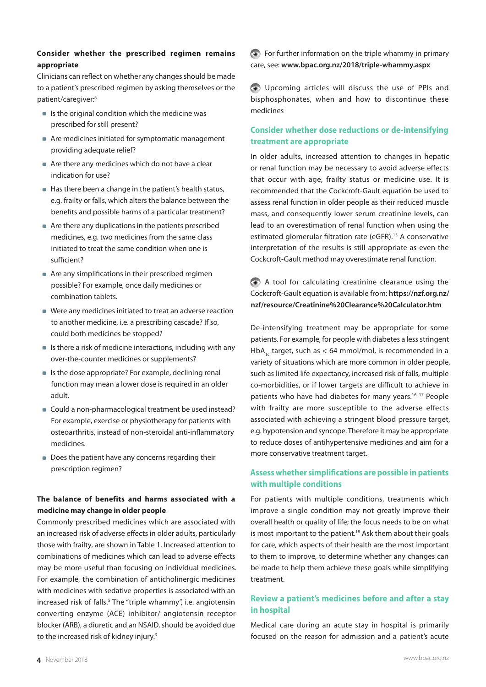## **Consider whether the prescribed regimen remains appropriate**

Clinicians can reflect on whether any changes should be made to a patient's prescribed regimen by asking themselves or the patient/caregiver:8

- $\blacksquare$  Is the original condition which the medicine was prescribed for still present?
- Are medicines initiated for symptomatic management providing adequate relief?
- Are there any medicines which do not have a clear indication for use?
- Has there been a change in the patient's health status, e.g. frailty or falls, which alters the balance between the benefits and possible harms of a particular treatment?
- Are there any duplications in the patients prescribed medicines, e.g. two medicines from the same class initiated to treat the same condition when one is sufficient?
- Are any simplifications in their prescribed regimen possible? For example, once daily medicines or combination tablets.
- Were any medicines initiated to treat an adverse reaction to another medicine, i.e. a prescribing cascade? If so, could both medicines be stopped?
- $\blacksquare$  Is there a risk of medicine interactions, including with any over-the-counter medicines or supplements?
- $\blacksquare$  Is the dose appropriate? For example, declining renal function may mean a lower dose is required in an older adult.
- Could a non-pharmacological treatment be used instead? For example, exercise or physiotherapy for patients with osteoarthritis, instead of non-steroidal anti-inflammatory medicines.
- Does the patient have any concerns regarding their prescription regimen?

## **The balance of benefits and harms associated with a medicine may change in older people**

Commonly prescribed medicines which are associated with an increased risk of adverse effects in older adults, particularly those with frailty, are shown in Table 1. Increased attention to combinations of medicines which can lead to adverse effects may be more useful than focusing on individual medicines. For example, the combination of anticholinergic medicines with medicines with sedative properties is associated with an increased risk of falls.<sup>5</sup> The "triple whammy", i.e. angiotensin converting enzyme (ACE) inhibitor/ angiotensin receptor blocker (ARB), a diuretic and an NSAID, should be avoided due to the increased risk of kidney injury.<sup>3</sup>

For further information on the triple whammy in primary care, see: **<www.bpac.org.nz/2018/triple-whammy.aspx>**

Upcoming articles will discuss the use of PPIs and bisphosphonates, when and how to discontinue these medicines

## **Consider whether dose reductions or de-intensifying treatment are appropriate**

In older adults, increased attention to changes in hepatic or renal function may be necessary to avoid adverse effects that occur with age, frailty status or medicine use. It is recommended that the Cockcroft-Gault equation be used to assess renal function in older people as their reduced muscle mass, and consequently lower serum creatinine levels, can lead to an overestimation of renal function when using the estimated glomerular filtration rate (eGFR).<sup>15</sup> A conservative interpretation of the results is still appropriate as even the Cockcroft-Gault method may overestimate renal function.

A tool for calculating creatinine clearance using the Cockcroft-Gault equation is available from: **[https://nzf.org.nz/](https://nzf.org.nz/nzf/resource/Creatinine%20Clearance%20Calculator.htm) [nzf/resource/Creatinine%20Clearance%20Calculator.htm](https://nzf.org.nz/nzf/resource/Creatinine%20Clearance%20Calculator.htm)**

De-intensifying treatment may be appropriate for some patients. For example, for people with diabetes a less stringent HbA<sub>1c</sub> target, such as < 64 mmol/mol, is recommended in a variety of situations which are more common in older people, such as limited life expectancy, increased risk of falls, multiple co-morbidities, or if lower targets are difficult to achieve in patients who have had diabetes for many years.<sup>16, 17</sup> People with frailty are more susceptible to the adverse effects associated with achieving a stringent blood pressure target, e.g. hypotension and syncope. Therefore it may be appropriate to reduce doses of antihypertensive medicines and aim for a more conservative treatment target.

## **Assess whether simplifications are possible in patients with multiple conditions**

For patients with multiple conditions, treatments which improve a single condition may not greatly improve their overall health or quality of life; the focus needs to be on what is most important to the patient.<sup>18</sup> Ask them about their goals for care, which aspects of their health are the most important to them to improve, to determine whether any changes can be made to help them achieve these goals while simplifying treatment.

## **Review a patient's medicines before and after a stay in hospital**

Medical care during an acute stay in hospital is primarily focused on the reason for admission and a patient's acute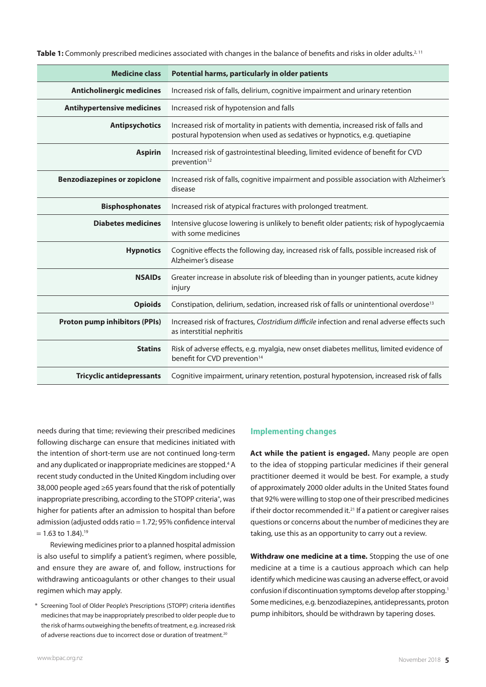**Table 1:** Commonly prescribed medicines associated with changes in the balance of benefits and risks in older adults.<sup>2, 11</sup>

| <b>Medicine class</b>                | Potential harms, particularly in older patients                                                                                                                 |
|--------------------------------------|-----------------------------------------------------------------------------------------------------------------------------------------------------------------|
| <b>Anticholinergic medicines</b>     | Increased risk of falls, delirium, cognitive impairment and urinary retention                                                                                   |
| <b>Antihypertensive medicines</b>    | Increased risk of hypotension and falls                                                                                                                         |
| <b>Antipsychotics</b>                | Increased risk of mortality in patients with dementia, increased risk of falls and<br>postural hypotension when used as sedatives or hypnotics, e.g. quetiapine |
| <b>Aspirin</b>                       | Increased risk of gastrointestinal bleeding, limited evidence of benefit for CVD<br>prevention <sup>12</sup>                                                    |
| <b>Benzodiazepines or zopiclone</b>  | Increased risk of falls, cognitive impairment and possible association with Alzheimer's<br>disease                                                              |
| <b>Bisphosphonates</b>               | Increased risk of atypical fractures with prolonged treatment.                                                                                                  |
| <b>Diabetes medicines</b>            | Intensive glucose lowering is unlikely to benefit older patients; risk of hypoglycaemia<br>with some medicines                                                  |
| <b>Hypnotics</b>                     | Cognitive effects the following day, increased risk of falls, possible increased risk of<br>Alzheimer's disease                                                 |
| <b>NSAIDs</b>                        | Greater increase in absolute risk of bleeding than in younger patients, acute kidney<br>injury                                                                  |
| <b>Opioids</b>                       | Constipation, delirium, sedation, increased risk of falls or unintentional overdose <sup>13</sup>                                                               |
| <b>Proton pump inhibitors (PPIs)</b> | Increased risk of fractures, Clostridium difficile infection and renal adverse effects such<br>as interstitial nephritis                                        |
| <b>Statins</b>                       | Risk of adverse effects, e.g. myalgia, new onset diabetes mellitus, limited evidence of<br>benefit for CVD prevention <sup>14</sup>                             |
| <b>Tricyclic antidepressants</b>     | Cognitive impairment, urinary retention, postural hypotension, increased risk of falls                                                                          |

needs during that time; reviewing their prescribed medicines following discharge can ensure that medicines initiated with the intention of short-term use are not continued long-term and any duplicated or inappropriate medicines are stopped.<sup>4</sup> A recent study conducted in the United Kingdom including over 38,000 people aged ≥65 years found that the risk of potentially inappropriate prescribing, according to the STOPP criteria\*, was higher for patients after an admission to hospital than before admission (adjusted odds ratio = 1.72; 95% confidence interval  $= 1.63$  to 1.84).<sup>19</sup>

Reviewing medicines prior to a planned hospital admission is also useful to simplify a patient's regimen, where possible, and ensure they are aware of, and follow, instructions for withdrawing anticoagulants or other changes to their usual regimen which may apply.

\* Screening Tool of Older People's Prescriptions (STOPP) criteria identifies medicines that may be inappropriately prescribed to older people due to the risk of harms outweighing the benefits of treatment, e.g. increased risk of adverse reactions due to incorrect dose or duration of treatment.20

#### **Implementing changes**

**Act while the patient is engaged.** Many people are open to the idea of stopping particular medicines if their general practitioner deemed it would be best. For example, a study of approximately 2000 older adults in the United States found that 92% were willing to stop one of their prescribed medicines if their doctor recommended it. $21$  If a patient or caregiver raises questions or concerns about the number of medicines they are taking, use this as an opportunity to carry out a review.

**Withdraw one medicine at a time.** Stopping the use of one medicine at a time is a cautious approach which can help identify which medicine was causing an adverse effect, or avoid confusion if discontinuation symptoms develop after stopping.1 Some medicines, e.g. benzodiazepines, antidepressants, proton pump inhibitors, should be withdrawn by tapering doses.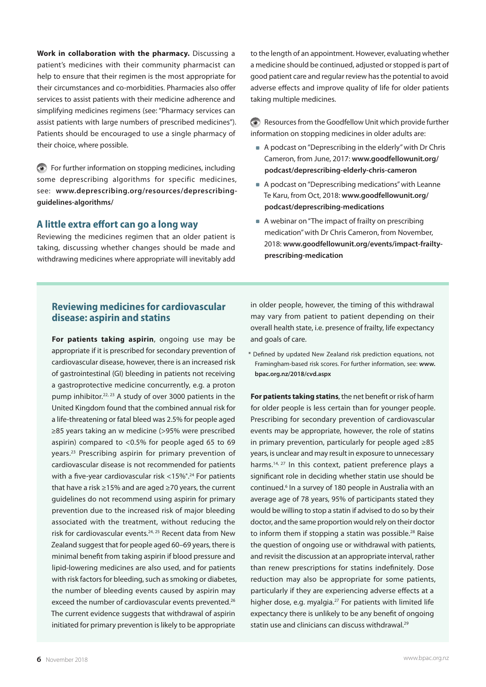**Work in collaboration with the pharmacy.** Discussing a patient's medicines with their community pharmacist can help to ensure that their regimen is the most appropriate for their circumstances and co-morbidities. Pharmacies also offer services to assist patients with their medicine adherence and simplifying medicines regimens (see: "Pharmacy services can assist patients with large numbers of prescribed medicines"). Patients should be encouraged to use a single pharmacy of their choice, where possible.

For further information on stopping medicines, including some deprescribing algorithms for specific medicines, see: **[www.deprescribing.org/resources/deprescribing](www.deprescribing.org/resources/deprescribing-guidelines-algorithms/)[guidelines-algorithms/](www.deprescribing.org/resources/deprescribing-guidelines-algorithms/)**

### **A little extra effort can go a long way**

Reviewing the medicines regimen that an older patient is taking, discussing whether changes should be made and withdrawing medicines where appropriate will inevitably add to the length of an appointment. However, evaluating whether a medicine should be continued, adjusted or stopped is part of good patient care and regular review has the potential to avoid adverse effects and improve quality of life for older patients taking multiple medicines.

Resources from the Goodfellow Unit which provide further information on stopping medicines in older adults are:

- A podcast on "Deprescribing in the elderly" with Dr Chris Cameron, from June, 2017: **[www.goodfellowunit.org/](www.goodfellowunit.org/podcast/deprescribing-elderly-chris-cameron) [podcast/deprescribing-elderly-chris-cameron](www.goodfellowunit.org/podcast/deprescribing-elderly-chris-cameron)**
- A podcast on "Deprescribing medications" with Leanne Te Karu, from Oct, 2018: **[www.goodfellowunit.org/](www.goodfellowunit.org/podcast/deprescribing-medications) [podcast/deprescribing-medications](www.goodfellowunit.org/podcast/deprescribing-medications)**
- A webinar on "The impact of frailty on prescribing medication" with Dr Chris Cameron, from November, 2018: **[www.goodfellowunit.org/events/impact-frailty](www.goodfellowunit.org/events/impact-frailty-prescribing-medication)[prescribing-medication](www.goodfellowunit.org/events/impact-frailty-prescribing-medication)**

## **Reviewing medicines for cardiovascular disease: aspirin and statins**

**For patients taking aspirin**, ongoing use may be appropriate if it is prescribed for secondary prevention of cardiovascular disease, however, there is an increased risk of gastrointestinal (GI) bleeding in patients not receiving a gastroprotective medicine concurrently, e.g. a proton pump inhibitor.<sup>22, 23</sup> A study of over 3000 patients in the United Kingdom found that the combined annual risk for a life-threatening or fatal bleed was 2.5% for people aged ≥85 years taking an w medicine (>95% were prescribed aspirin) compared to <0.5% for people aged 65 to 69 years.23 Prescribing aspirin for primary prevention of cardiovascular disease is not recommended for patients with a five-year cardiovascular risk <15%\*.<sup>24</sup> For patients that have a risk ≥15% and are aged ≥70 years, the current guidelines do not recommend using aspirin for primary prevention due to the increased risk of major bleeding associated with the treatment, without reducing the risk for cardiovascular events.<sup>24, 25</sup> Recent data from New Zealand suggest that for people aged 60–69 years, there is minimal benefit from taking aspirin if blood pressure and lipid-lowering medicines are also used, and for patients with risk factors for bleeding, such as smoking or diabetes, the number of bleeding events caused by aspirin may exceed the number of cardiovascular events prevented.<sup>26</sup> The current evidence suggests that withdrawal of aspirin initiated for primary prevention is likely to be appropriate

in older people, however, the timing of this withdrawal may vary from patient to patient depending on their overall health state, i.e. presence of frailty, life expectancy and goals of care.

\* Defined by updated New Zealand risk prediction equations, not Framingham-based risk scores. For further information, see: **[www.](www.bpac.org.nz/2018/cvd.aspx) [bpac.org.nz/2018/cvd.aspx](www.bpac.org.nz/2018/cvd.aspx)**

**For patients taking statins**, the net benefit or risk of harm for older people is less certain than for younger people. Prescribing for secondary prevention of cardiovascular events may be appropriate, however, the role of statins in primary prevention, particularly for people aged ≥85 years, is unclear and may result in exposure to unnecessary harms.<sup>14, 27</sup> In this context, patient preference plays a significant role in deciding whether statin use should be continued.<sup>6</sup> In a survey of 180 people in Australia with an average age of 78 years, 95% of participants stated they would be willing to stop a statin if advised to do so by their doctor, and the same proportion would rely on their doctor to inform them if stopping a statin was possible.<sup>28</sup> Raise the question of ongoing use or withdrawal with patients, and revisit the discussion at an appropriate interval, rather than renew prescriptions for statins indefinitely. Dose reduction may also be appropriate for some patients, particularly if they are experiencing adverse effects at a higher dose, e.g. myalgia.<sup>27</sup> For patients with limited life expectancy there is unlikely to be any benefit of ongoing statin use and clinicians can discuss withdrawal.<sup>29</sup>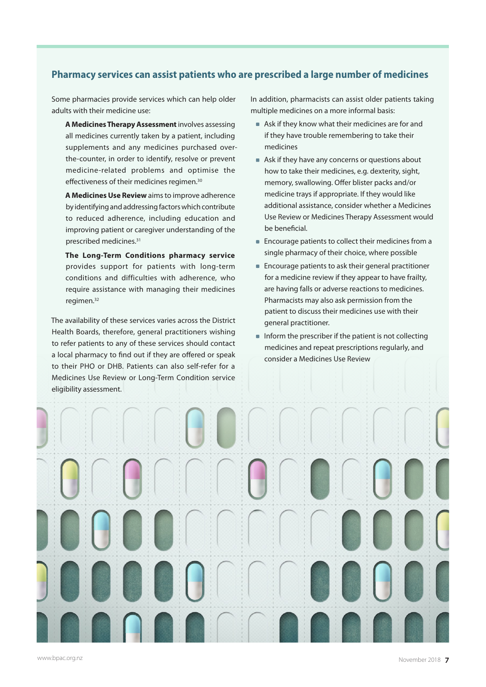# **Pharmacy services can assist patients who are prescribed a large number of medicines**

Some pharmacies provide services which can help older adults with their medicine use:

**A Medicines Therapy Assessment** involves assessing all medicines currently taken by a patient, including supplements and any medicines purchased overthe-counter, in order to identify, resolve or prevent medicine-related problems and optimise the effectiveness of their medicines regimen.<sup>30</sup>

**A Medicines Use Review** aims to improve adherence by identifying and addressing factors which contribute to reduced adherence, including education and improving patient or caregiver understanding of the prescribed medicines.31

**The Long-Term Conditions pharmacy service** provides support for patients with long-term conditions and difficulties with adherence, who require assistance with managing their medicines regimen.32

The availability of these services varies across the District Health Boards, therefore, general practitioners wishing to refer patients to any of these services should contact a local pharmacy to find out if they are offered or speak to their PHO or DHB. Patients can also self-refer for a Medicines Use Review or Long-Term Condition service eligibility assessment.

In addition, pharmacists can assist older patients taking multiple medicines on a more informal basis:

- Ask if they know what their medicines are for and if they have trouble remembering to take their medicines
- Ask if they have any concerns or questions about how to take their medicines, e.g. dexterity, sight, memory, swallowing. Offer blister packs and/or medicine trays if appropriate. If they would like additional assistance, consider whether a Medicines Use Review or Medicines Therapy Assessment would be beneficial.
- Encourage patients to collect their medicines from a single pharmacy of their choice, where possible
- Encourage patients to ask their general practitioner for a medicine review if they appear to have frailty, are having falls or adverse reactions to medicines. Pharmacists may also ask permission from the patient to discuss their medicines use with their general practitioner.
- $\blacksquare$  Inform the prescriber if the patient is not collecting medicines and repeat prescriptions regularly, and consider a Medicines Use Review